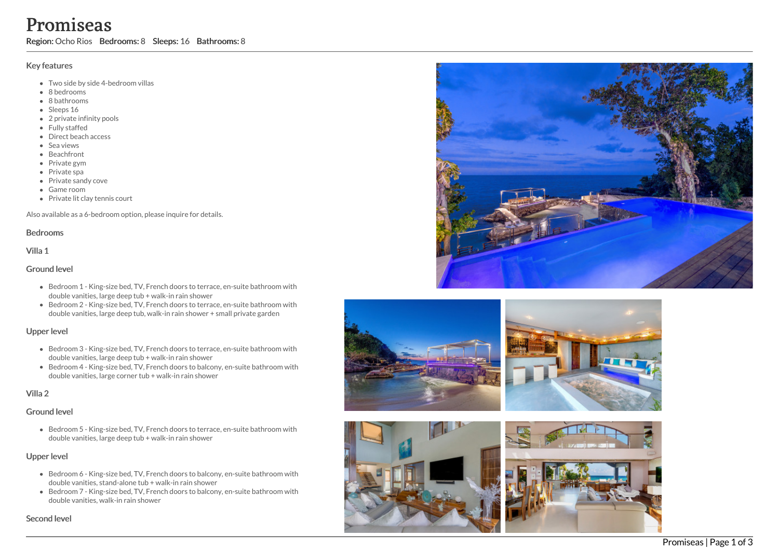# **Promission:** Ocho Region: Ocho Region: Ocho Region: Ocho Region: 0.000 Region: 8 badroom<br>
• Sleeps 16<br>
• Sleeps 16<br>
• Sleeps 16<br>
• Direct bea<br>
• Sea views<br>
• Beachfron<br>
• Private spi<br>
• Private spi<br>
• Private spi<br>
• Priva i s e a s

Region: Ocho Rios Bedrooms: 8 Sleeps: 16 Bathrooms: 8

# Key features

- Two side by side 4-bedroom villas
- 8 b e d r o o m s
- 8 bathrooms
- Sleeps 16
- 2 private infinity pools
- Fully staffed
- Direct beach access
- S e a vie w s
- **Beachfront**
- Private gym
- Private spa
- Private sandy cove
- G a m e r o o m
- Private lit clay tennis court

Also available as a 6-bedroom option, please inquire for details.

## Bedrooms

Villa 1

# Ground level

- Bedroom 1 King-size bed, TV, French doors to terrace, en-suite bathroom with double vanities, large deep tub + walk-in rain shower
- Bedroom 2 King-size bed, TV, French doors to terrace, en-suite bathroom with double vanities, large deep tub, walk-in rain shower + small private garden

# Upper level

- Bedroom 3 King-size bed, TV, French doors to terrace, en-suite bathroom with double vanities, large deep tub + walk-in rain shower
- Bedroom 4 King-size bed, TV, French doors to balcony, en-suite bathroom with double vanities, large corner tub + walk-in rain shower

# Villa 2

# Ground level

Bedroom 5 - King-size bed, TV, French doors to terrace, en-suite bathroom with double vanities, large deep tub + walk-in rain shower

# Upper level

- Bedroom 6 King-size bed, TV, French doors to balcony, en-suite bathroom with double vanities, stand-alone tub + walk-in rain shower
- Bedroom 7 King-size bed, TV, French doors to balcony, en-suite bathroom with double vanities, walk-in rain shower

Second leve









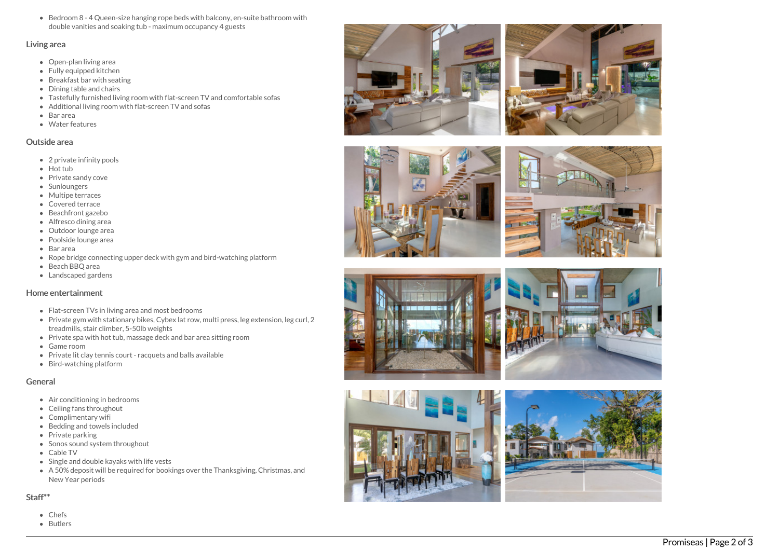Bedroom 8 - 4 Queen-size hanging rope beds with balcony, en-suite bathroom with double vanities and soaking tub - maximum occupancy 4 guests

### Living area

- Open-plan living area
- Fully equipped kitchen
- Breakfast bar with seating
- Dining table and chairs
- Tastefully furnished living room with flat-screen TV and comfortable sofas
- Additional living room with flat-screen TV and sofas
- Bar area
- Water features

## Outside area

- 2 private infinity pools
- Hot tub
- Private sandy cove
- **Sunloungers**
- Multipe terraces
- Covered terrace
- B e a c h f r o n t g a z e b o
- Alfresco dining area
- Outdoor lounge area
- Poolside lounge area
- Bar area
- Rope bridge connecting upper deck with gym and bird-watching platform
- B e a c h B B Q a r e a
- Landscaped gardens

# Home entertainment

- Flat-screen TVs in living area and most bedrooms
- Private gym with stationary bikes, Cybex lat row, multi press, leg extension, leg curl, 2 treadmills, stair climber, 5-50lb weights
- Private spa with hot tub, massage deck and bar area sitting room
- G a m e r o o m
- Private lit clay tennis court racquets and balls available
- Bir d w a t c hin g pla t f o r m

# General

- Air conditioning in bedrooms
- Ceiling fans throughout
- Complimentary wifi
- Bedding and towels in clu d e d
- Private parking
- Sonos sound system throughout
- C a ble T V
- Single and double kayaks with life vests
- A 50% deposit will be required for bookings over the Thanksgiving, Christmas, and New Year periods

# Staff\*\*

- Chefs
- B u tle r s